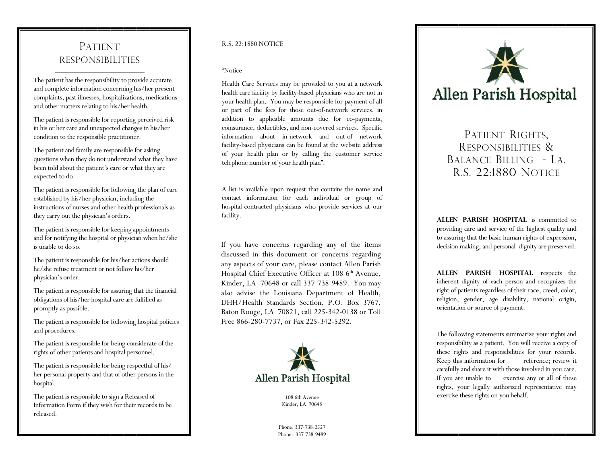## PATIENTRESPONSIBILITIES

The patient has the responsibility to provide accurate and complete information concerning his/her present complaints, past illnesses, hospitalizations, medications and other matters relating to his/her health.

 The patient is responsible for reporting perceived risk in his or her care and unexpected changes in his/her condition to the responsible practitioner.

 The patient and family are responsible for asking questions when they do not understand what they have been told about the patient's care or what they are expected to do.

 The patient is responsible for following the plan of care established by his/her physician, including the instructions of nurses and other health professionals as they carry out the physician's orders.

 The patient is responsible for keeping appointments and for notifying the hospital or physician when he/she is unable to do so.

 The patient is responsible for his/her actions should he/she refuse treatment or not follow his/her <sup>p</sup>hysician's order.

 The patient is responsible for assuring that the financial obligations of his/her hospital care are fulfilled as promptly as possible.

 The patient is responsible for following hospital policies and procedures.

 The patient is responsible for being considerate of the rights of other patients and hospital personnel.

 The patient is responsible for being respectful of his/ her personal property and that of other persons in the hospital.

 The patient is responsible to sign a Released of Information Form if they wish for their records to be released.

## R.S. 22:1880 NOTICE

## "Notice

Health Care Services may be provided to you at a network health care facility by facility-based physicians who are not in your health plan. You may be responsible for payment of all or part of the fees for those out-of-network services, in addition to applicable amounts due for co-payments, coinsurance, deductibles, and non-covered services. Specific information about in-network and out-of network facility-based physicians can be found at the website address of your health plan or by calling the customer service telephone number of your health plan".

A list is available upon request that contains the name and contact information for each individual or group of hospital-contracted physicians who provide services at our facility.

If you have concerns regarding any of the items discussed in this document or concerns regarding any aspects of your care, please contact Allen Parish Hospital Chief Executive Officer at 108 6<sup>th</sup> Avenue, Kinder, LA 70648 or call 337-738-9489. You may also advise the Louisiana Department of Health, DHH/Health Standards Section, P.O. Box 3767, Baton Rouge, LA 70821, call 225-342-0138 or Toll Free 866-280-7737, or Fax 225-342-5292.



108 6th Avenue Kinder, LA 70648

Phone: 337-738-2527 Phone: 337-738-9489



PATIENT RIGHTS, RESPONSIBILITIES & BALANCE BILLING - LA. R.S. 22:1880 NOTICE

**ALLEN PARISH HOSPITAL** is committed to providing care and service of the highest quality and to assuring that the basic human rights of expression, decision making, and personal dignity are preserved.

**ALLEN PARISH HOSPITAL** respects the inherent dignity of each person and recognizes the right of patients regardless of their race, creed, color, religion, gender, age disability, national origin, orientation or source of payment.

The following statements summarize your rights and responsibility as a patient. You will receive a copy of these rights and responsibilities for your records.<br>Keep this information for reference; review it Keep this information for carefully and share it with those involved in you care. If you are unable to exercise any or all of these rights, your legally authorized representative may exercise these rights on you behalf.